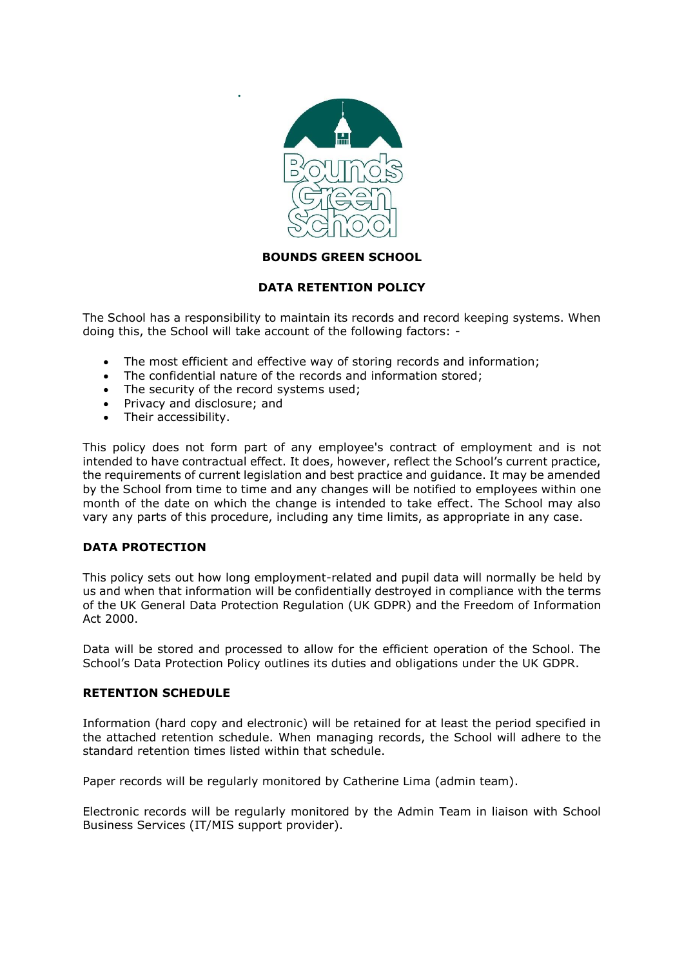

# **BOUNDS GREEN SCHOOL**

# **DATA RETENTION POLICY**

The School has a responsibility to maintain its records and record keeping systems. When doing this, the School will take account of the following factors: -

- The most efficient and effective way of storing records and information;
- The confidential nature of the records and information stored;
- The security of the record systems used;

**.**

- Privacy and disclosure; and
- Their accessibility.

This policy does not form part of any employee's contract of employment and is not intended to have contractual effect. It does, however, reflect the School's current practice, the requirements of current legislation and best practice and guidance. It may be amended by the School from time to time and any changes will be notified to employees within one month of the date on which the change is intended to take effect. The School may also vary any parts of this procedure, including any time limits, as appropriate in any case.

### **DATA PROTECTION**

This policy sets out how long employment-related and pupil data will normally be held by us and when that information will be confidentially destroyed in compliance with the terms of the UK General Data Protection Regulation (UK GDPR) and the Freedom of Information Act 2000.

Data will be stored and processed to allow for the efficient operation of the School. The School's Data Protection Policy outlines its duties and obligations under the UK GDPR.

### **RETENTION SCHEDULE**

Information (hard copy and electronic) will be retained for at least the period specified in the attached retention schedule. When managing records, the School will adhere to the standard retention times listed within that schedule.

Paper records will be regularly monitored by Catherine Lima (admin team).

Electronic records will be regularly monitored by the Admin Team in liaison with School Business Services (IT/MIS support provider).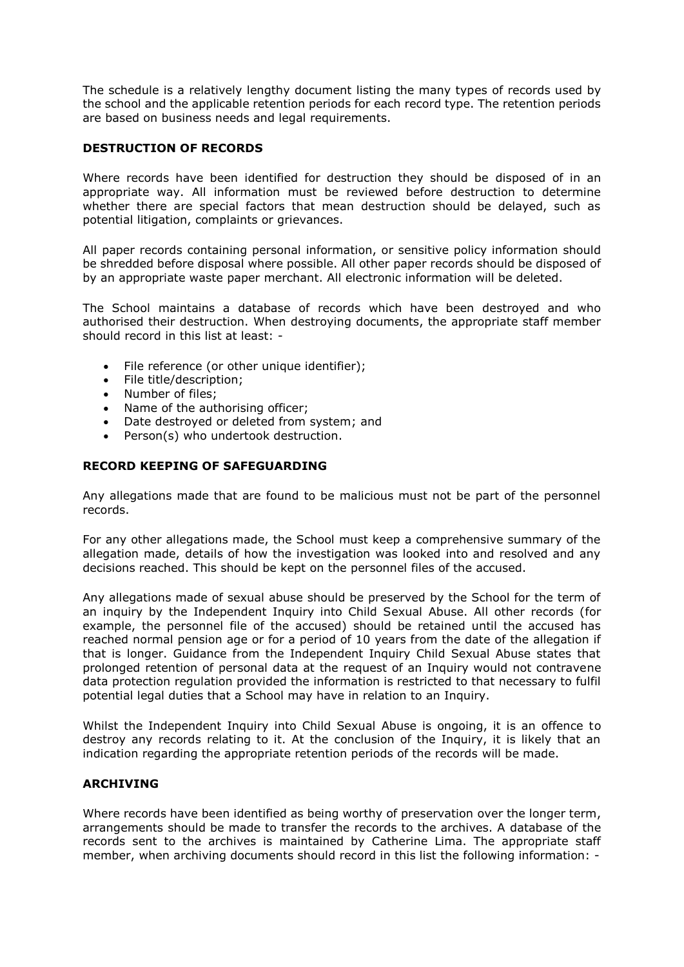The schedule is a relatively lengthy document listing the many types of records used by the school and the applicable retention periods for each record type. The retention periods are based on business needs and legal requirements.

## **DESTRUCTION OF RECORDS**

Where records have been identified for destruction they should be disposed of in an appropriate way. All information must be reviewed before destruction to determine whether there are special factors that mean destruction should be delayed, such as potential litigation, complaints or grievances.

All paper records containing personal information, or sensitive policy information should be shredded before disposal where possible. All other paper records should be disposed of by an appropriate waste paper merchant. All electronic information will be deleted.

The School maintains a database of records which have been destroyed and who authorised their destruction. When destroying documents, the appropriate staff member should record in this list at least: -

- File reference (or other unique identifier);<br>• File title/description:
- File title/description;
- Number of files;
- Name of the authorising officer;
- Date destroyed or deleted from system; and
- Person(s) who undertook destruction.

## **RECORD KEEPING OF SAFEGUARDING**

Any allegations made that are found to be malicious must not be part of the personnel records.

For any other allegations made, the School must keep a comprehensive summary of the allegation made, details of how the investigation was looked into and resolved and any decisions reached. This should be kept on the personnel files of the accused.

Any allegations made of sexual abuse should be preserved by the School for the term of an inquiry by the Independent Inquiry into Child Sexual Abuse. All other records (for example, the personnel file of the accused) should be retained until the accused has reached normal pension age or for a period of 10 years from the date of the allegation if that is longer. Guidance from the Independent Inquiry Child Sexual Abuse states that prolonged retention of personal data at the request of an Inquiry would not contravene data protection regulation provided the information is restricted to that necessary to fulfil potential legal duties that a School may have in relation to an Inquiry.

Whilst the Independent Inquiry into Child Sexual Abuse is ongoing, it is an offence to destroy any records relating to it. At the conclusion of the Inquiry, it is likely that an indication regarding the appropriate retention periods of the records will be made.

### **ARCHIVING**

Where records have been identified as being worthy of preservation over the longer term, arrangements should be made to transfer the records to the archives. A database of the records sent to the archives is maintained by Catherine Lima. The appropriate staff member, when archiving documents should record in this list the following information: -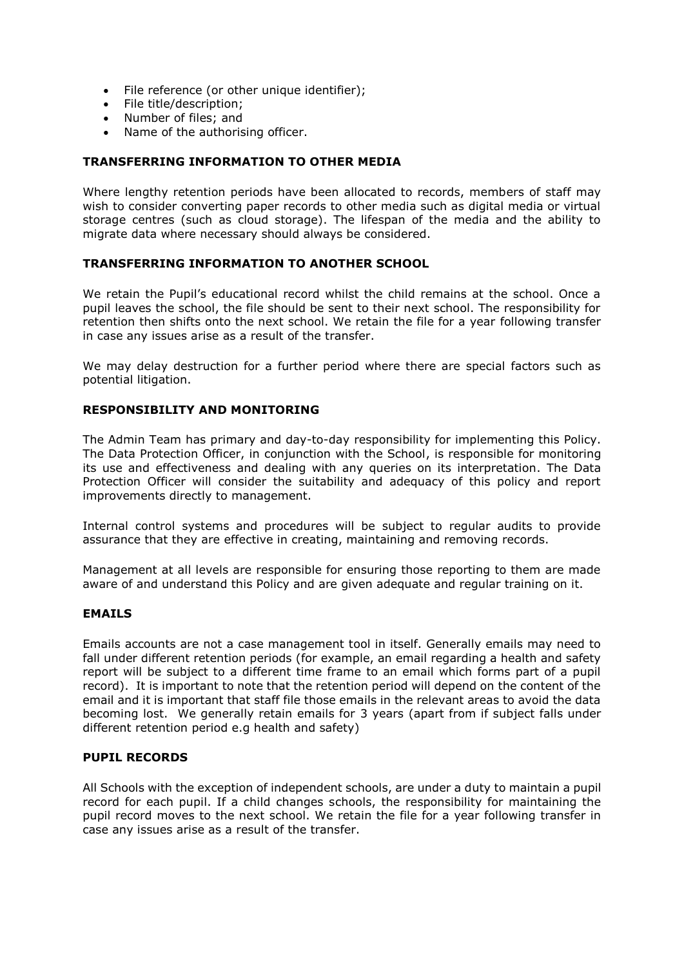- File reference (or other unique identifier);
- File title/description;
- Number of files; and
- Name of the authorising officer.

# **TRANSFERRING INFORMATION TO OTHER MEDIA**

Where lengthy retention periods have been allocated to records, members of staff may wish to consider converting paper records to other media such as digital media or virtual storage centres (such as cloud storage). The lifespan of the media and the ability to migrate data where necessary should always be considered.

## **TRANSFERRING INFORMATION TO ANOTHER SCHOOL**

We retain the Pupil's educational record whilst the child remains at the school. Once a pupil leaves the school, the file should be sent to their next school. The responsibility for retention then shifts onto the next school. We retain the file for a year following transfer in case any issues arise as a result of the transfer.

We may delay destruction for a further period where there are special factors such as potential litigation.

## **RESPONSIBILITY AND MONITORING**

The Admin Team has primary and day-to-day responsibility for implementing this Policy. The Data Protection Officer, in conjunction with the School, is responsible for monitoring its use and effectiveness and dealing with any queries on its interpretation. The Data Protection Officer will consider the suitability and adequacy of this policy and report improvements directly to management.

Internal control systems and procedures will be subject to regular audits to provide assurance that they are effective in creating, maintaining and removing records.

Management at all levels are responsible for ensuring those reporting to them are made aware of and understand this Policy and are given adequate and regular training on it.

### **EMAILS**

Emails accounts are not a case management tool in itself. Generally emails may need to fall under different retention periods (for example, an email regarding a health and safety report will be subject to a different time frame to an email which forms part of a pupil record). It is important to note that the retention period will depend on the content of the email and it is important that staff file those emails in the relevant areas to avoid the data becoming lost. We generally retain emails for 3 years (apart from if subject falls under different retention period e.g health and safety)

### **PUPIL RECORDS**

All Schools with the exception of independent schools, are under a duty to maintain a pupil record for each pupil. If a child changes schools, the responsibility for maintaining the pupil record moves to the next school. We retain the file for a year following transfer in case any issues arise as a result of the transfer.